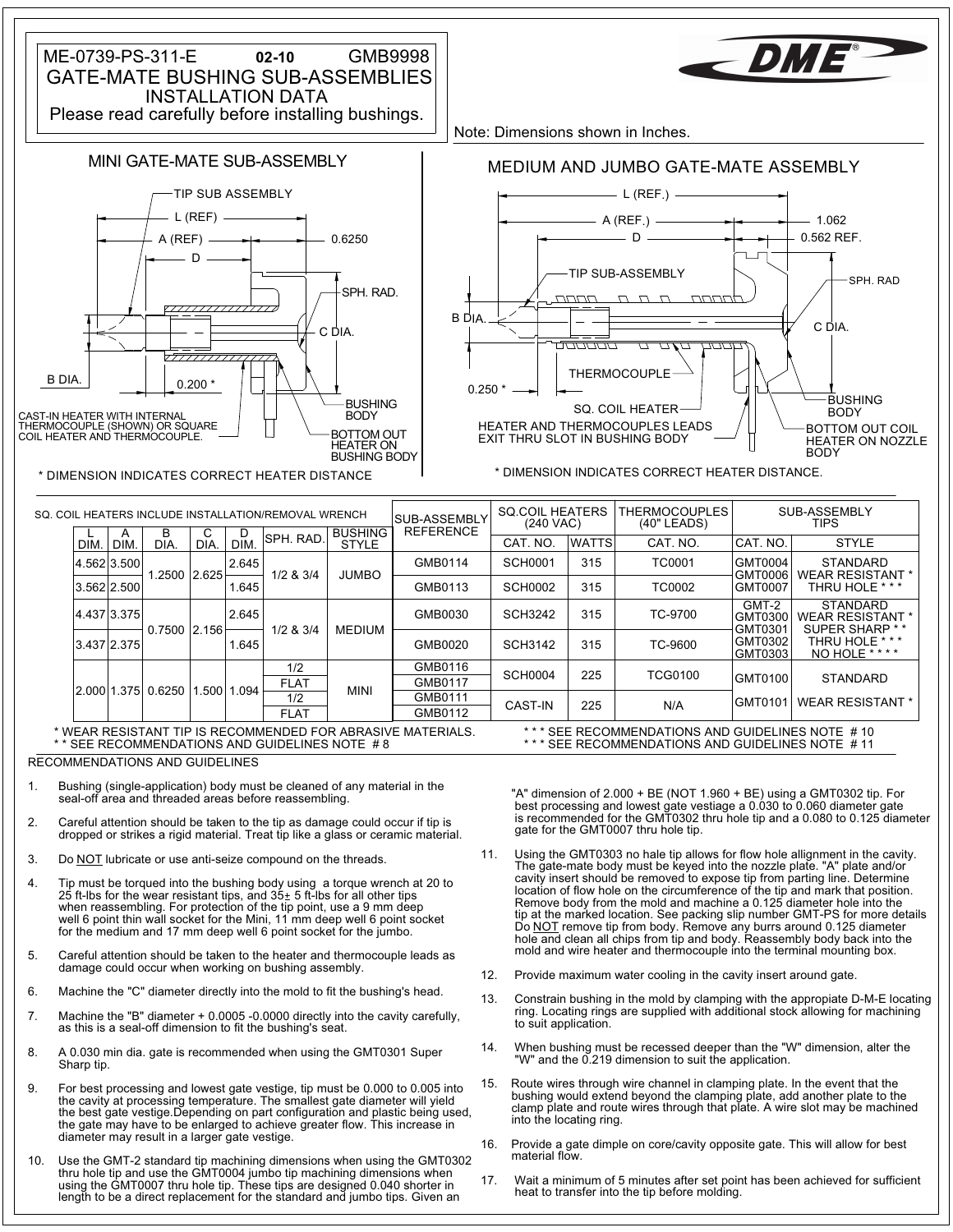

RECOMMENDATIONS AND GUIDELINES

- Bushing (single-application) body must be cleaned of any material in the seal-off area and threaded areas before reassembling.
- dropped or strikes a rigid material. Treat tip like a glass or ceramic material. 2. Careful attention should be taken to the tip as damage could occur if tip is
- 3. Do NOT lubricate or use anti-seize compound on the threads.
- for the medium and 17 mm deep well 6 point socket for the jumbo. well 6 point thin wall socket for the Mini, 11 mm deep well 6 point socket when reassembling. For protection of the tip point, use a 9 mm deep 4. Tip must be torqued into the bushing body using a torque wrench at 20 to 20 to 20 to 20 to 20 to 20 to 20 to
- damage could occur when working on bushing assembly. 5. Careful attention should be taken to the heater and thermocouple leads as
- 6. Machine the "C" diameter directly into the mold to fit the bushing's head.
- as this is a seal-off dimension to fit the bushing's seat. 7. Machine the "B" diameter + 0.0005 -0.0000 directly into the cavity carefully,
- Sharp tip. 8. A 0.030 min dia. gate is recommended when using the GMT0301 Super
- diameter may result in a larger gate vestige. the gate may have to be enlarged to achieve greater flow. This increase in the best gate vestige.Depending on part configuration and plastic being used, the cavity at processing temperature. The smallest gate diameter will yield 9. For best processing and lowest gate vestige, tip must be 0.000 to 0.005 into
- length to be a direct replacement for the standard and jumbo tips. Given an using the GMT0007 thru hole tip. These tips are designed 0.040 shorter in thru hole tip and use the GMT0004 jumbo tip machining dimensions when 10. Use the GMT-2 standard tip machining dimensions when using the GMT0302

gate for the GMT0007 thru hole tip. 1. Bushing (single-application) body must be cleaned of any material in the "A" dimension of 2.000 + BE (NOT 1.960 + BE) using a GMT0302 tip. For<br>seal-off area and threaded areas before reassembling. "A" dimension of 2.000

- mold and wire heater and thermocouple into the terminal mounting box. tip at the marked location. See packing slip number GMT-PS for more details<br>Do <u>NOT</u> remove tip from body. Remove any burrs around 0.125 diameter<br>hole and clean all chips from tip and body. Reassembly body back into the Remove body from the mold and machine a 0.125 diameter hole into the location of flow hole on the circumference of the tip and mark that position. cavity insert should be removed to expose tip from parting line. Determine The gate-mate body must be keyed into the nozzle plate. "A" plate and/or 11. Using the GMT0303 no hale tip allows for flow hole allignment in the cavity.
- 12. Provide maximum water cooling in the cavity insert around gate.
- to suit application. 13. Constrain bushing in the mold by clamping with the appropiate D-M-E locating<br>ring. Locating rings are supplied with additional stock allowing for machining
- 14. When bushing must be recessed deeper than the "W" dimension, alter the "W" and the 0.219 dimension to suit the application.
- into the locating ring. 15. Route wires through wire channel in clamping plate. In the event that the<br>bushing would extend beyond the clamping plate, add another plate to the<br>clamp plate and route wires through that plate. A wire slot may be mach
- material flow. 16. Provide a gate dimple on core/cavity opposite gate. This will allow for best
- heat to transfer into the tip before molding. 17. Wait a minimum of 5 minutes after set point has been achieved for sufficient